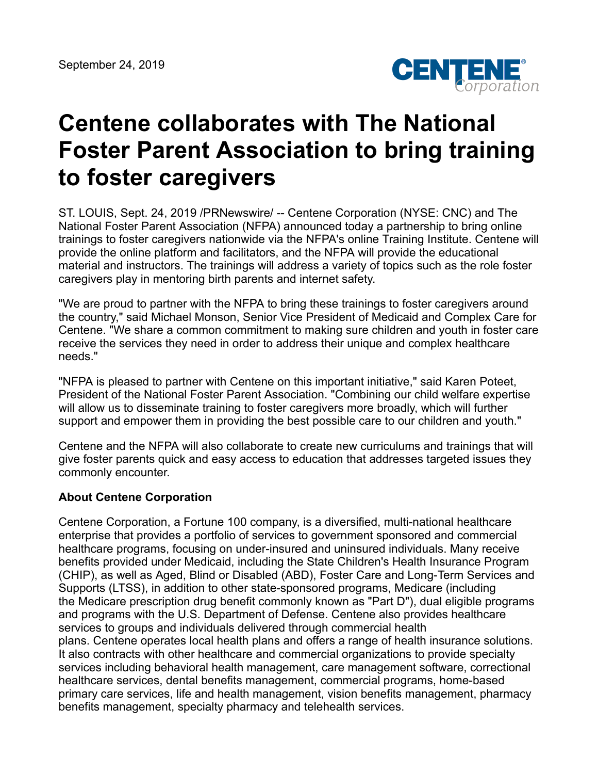

## **Centene collaborates with The National Foster Parent Association to bring training to foster caregivers**

ST. LOUIS, Sept. 24, 2019 /PRNewswire/ -- Centene Corporation (NYSE: CNC) and The National Foster Parent Association (NFPA) announced today a partnership to bring online trainings to foster caregivers nationwide via the NFPA's online Training Institute. Centene will provide the online platform and facilitators, and the NFPA will provide the educational material and instructors. The trainings will address a variety of topics such as the role foster caregivers play in mentoring birth parents and internet safety.

"We are proud to partner with the NFPA to bring these trainings to foster caregivers around the country," said Michael Monson, Senior Vice President of Medicaid and Complex Care for Centene. "We share a common commitment to making sure children and youth in foster care receive the services they need in order to address their unique and complex healthcare needs."

"NFPA is pleased to partner with Centene on this important initiative," said Karen Poteet, President of the National Foster Parent Association. "Combining our child welfare expertise will allow us to disseminate training to foster caregivers more broadly, which will further support and empower them in providing the best possible care to our children and youth."

Centene and the NFPA will also collaborate to create new curriculums and trainings that will give foster parents quick and easy access to education that addresses targeted issues they commonly encounter.

## **About Centene Corporation**

Centene Corporation, a Fortune 100 company, is a diversified, multi-national healthcare enterprise that provides a portfolio of services to government sponsored and commercial healthcare programs, focusing on under-insured and uninsured individuals. Many receive benefits provided under Medicaid, including the State Children's Health Insurance Program (CHIP), as well as Aged, Blind or Disabled (ABD), Foster Care and Long-Term Services and Supports (LTSS), in addition to other state-sponsored programs, Medicare (including the Medicare prescription drug benefit commonly known as "Part D"), dual eligible programs and programs with the U.S. Department of Defense. Centene also provides healthcare services to groups and individuals delivered through commercial health plans. Centene operates local health plans and offers a range of health insurance solutions. It also contracts with other healthcare and commercial organizations to provide specialty services including behavioral health management, care management software, correctional healthcare services, dental benefits management, commercial programs, home-based primary care services, life and health management, vision benefits management, pharmacy benefits management, specialty pharmacy and telehealth services.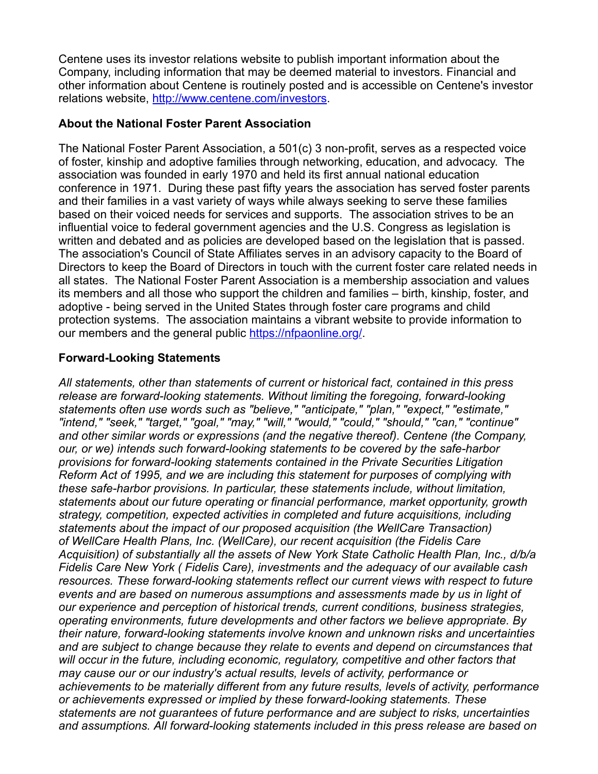Centene uses its investor relations website to publish important information about the Company, including information that may be deemed material to investors. Financial and other information about Centene is routinely posted and is accessible on Centene's investor relations website, <http://www.centene.com/investors>.

## **About the National Foster Parent Association**

The National Foster Parent Association, a 501(c) 3 non-profit, serves as a respected voice of foster, kinship and adoptive families through networking, education, and advocacy. The association was founded in early 1970 and held its first annual national education conference in 1971. During these past fifty years the association has served foster parents and their families in a vast variety of ways while always seeking to serve these families based on their voiced needs for services and supports. The association strives to be an influential voice to federal government agencies and the U.S. Congress as legislation is written and debated and as policies are developed based on the legislation that is passed. The association's Council of State Affiliates serves in an advisory capacity to the Board of Directors to keep the Board of Directors in touch with the current foster care related needs in all states. The National Foster Parent Association is a membership association and values its members and all those who support the children and families – birth, kinship, foster, and adoptive - being served in the United States through foster care programs and child protection systems. The association maintains a vibrant website to provide information to our members and the general public <https://nfpaonline.org/>

## **Forward-Looking Statements**

*All statements, other than statements of current or historical fact, contained in this press release are forward-looking statements. Without limiting the foregoing, forward-looking statements often use words such as "believe," "anticipate," "plan," "expect," "estimate," "intend," "seek," "target," "goal," "may," "will," "would," "could," "should," "can," "continue" and other similar words or expressions (and the negative thereof). Centene (the Company, our, or we) intends such forward-looking statements to be covered by the safe-harbor provisions for forward-looking statements contained in the Private Securities Litigation Reform Act of 1995, and we are including this statement for purposes of complying with these safe-harbor provisions. In particular, these statements include, without limitation, statements about our future operating or financial performance, market opportunity, growth strategy, competition, expected activities in completed and future acquisitions, including statements about the impact of our proposed acquisition (the WellCare Transaction) of WellCare Health Plans, Inc. (WellCare), our recent acquisition (the Fidelis Care Acquisition) of substantially all the assets of New York State Catholic Health Plan, Inc., d/b/a Fidelis Care New York ( Fidelis Care), investments and the adequacy of our available cash resources. These forward-looking statements reflect our current views with respect to future events and are based on numerous assumptions and assessments made by us in light of our experience and perception of historical trends, current conditions, business strategies, operating environments, future developments and other factors we believe appropriate. By their nature, forward-looking statements involve known and unknown risks and uncertainties and are subject to change because they relate to events and depend on circumstances that will occur in the future, including economic, regulatory, competitive and other factors that may cause our or our industry's actual results, levels of activity, performance or achievements to be materially different from any future results, levels of activity, performance or achievements expressed or implied by these forward-looking statements. These statements are not guarantees of future performance and are subject to risks, uncertainties and assumptions. All forward-looking statements included in this press release are based on*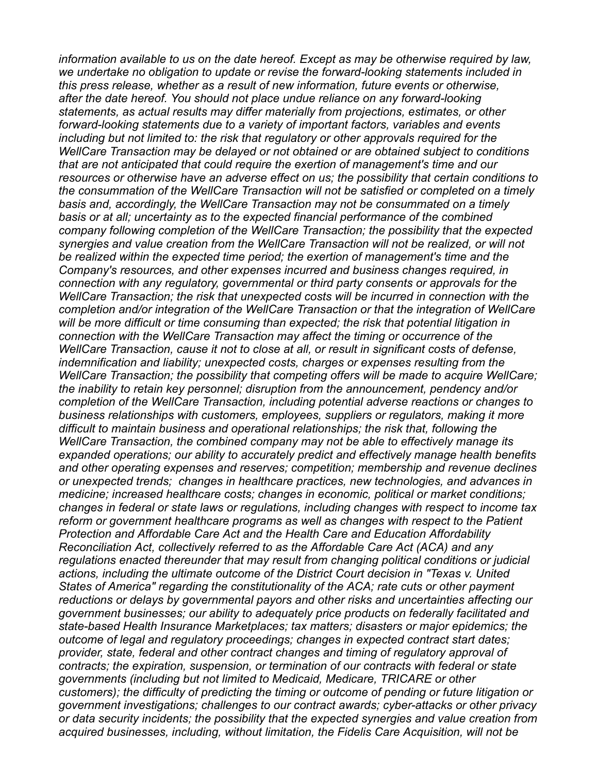*information available to us on the date hereof. Except as may be otherwise required by law, we undertake no obligation to update or revise the forward-looking statements included in this press release, whether as a result of new information, future events or otherwise, after the date hereof. You should not place undue reliance on any forward-looking statements, as actual results may differ materially from projections, estimates, or other forward-looking statements due to a variety of important factors, variables and events including but not limited to: the risk that regulatory or other approvals required for the WellCare Transaction may be delayed or not obtained or are obtained subject to conditions that are not anticipated that could require the exertion of management's time and our resources or otherwise have an adverse effect on us; the possibility that certain conditions to the consummation of the WellCare Transaction will not be satisfied or completed on a timely basis and, accordingly, the WellCare Transaction may not be consummated on a timely basis or at all; uncertainty as to the expected financial performance of the combined company following completion of the WellCare Transaction; the possibility that the expected synergies and value creation from the WellCare Transaction will not be realized, or will not be realized within the expected time period; the exertion of management's time and the Company's resources, and other expenses incurred and business changes required, in connection with any regulatory, governmental or third party consents or approvals for the WellCare Transaction; the risk that unexpected costs will be incurred in connection with the completion and/or integration of the WellCare Transaction or that the integration of WellCare will be more difficult or time consuming than expected; the risk that potential litigation in connection with the WellCare Transaction may affect the timing or occurrence of the WellCare Transaction, cause it not to close at all, or result in significant costs of defense, indemnification and liability; unexpected costs, charges or expenses resulting from the WellCare Transaction; the possibility that competing offers will be made to acquire WellCare; the inability to retain key personnel; disruption from the announcement, pendency and/or completion of the WellCare Transaction, including potential adverse reactions or changes to business relationships with customers, employees, suppliers or regulators, making it more difficult to maintain business and operational relationships; the risk that, following the WellCare Transaction, the combined company may not be able to effectively manage its expanded operations; our ability to accurately predict and effectively manage health benefits and other operating expenses and reserves; competition; membership and revenue declines or unexpected trends; changes in healthcare practices, new technologies, and advances in medicine; increased healthcare costs; changes in economic, political or market conditions; changes in federal or state laws or regulations, including changes with respect to income tax reform or government healthcare programs as well as changes with respect to the Patient Protection and Affordable Care Act and the Health Care and Education Affordability Reconciliation Act, collectively referred to as the Affordable Care Act (ACA) and any regulations enacted thereunder that may result from changing political conditions or judicial actions, including the ultimate outcome of the District Court decision in "Texas v. United States of America" regarding the constitutionality of the ACA; rate cuts or other payment reductions or delays by governmental payors and other risks and uncertainties affecting our government businesses; our ability to adequately price products on federally facilitated and state-based Health Insurance Marketplaces; tax matters; disasters or major epidemics; the outcome of legal and regulatory proceedings; changes in expected contract start dates; provider, state, federal and other contract changes and timing of regulatory approval of contracts; the expiration, suspension, or termination of our contracts with federal or state governments (including but not limited to Medicaid, Medicare, TRICARE or other customers); the difficulty of predicting the timing or outcome of pending or future litigation or government investigations; challenges to our contract awards; cyber-attacks or other privacy or data security incidents; the possibility that the expected synergies and value creation from acquired businesses, including, without limitation, the Fidelis Care Acquisition, will not be*